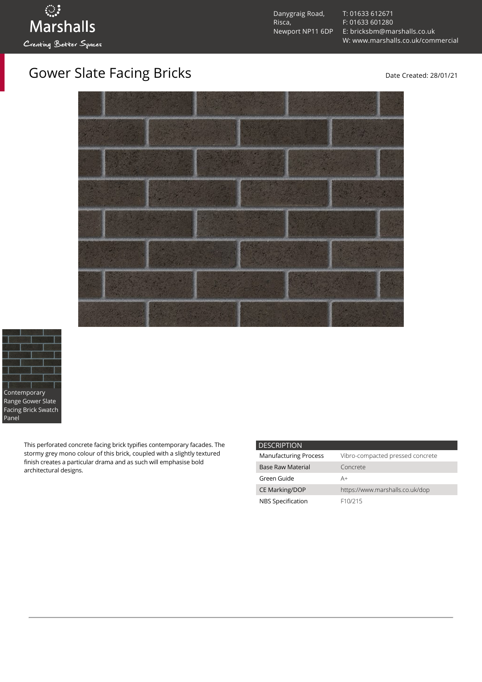Danygraig Road, Risca, Newport NP11 6DP [T: 01633 612671](tel:01633%20612671) [F: 01633 601280](tel:01633%20601280) [E: bricksbm@marshalls.co.uk](mailto:bricksbm@marshalls.co.uk) [W: www.marshalls.co.uk/commercial](https://www.marshalls.co.uk/commercial)





This perforated concrete facing brick typifies contemporary facades. The stormy grey mono colour of this brick, coupled with a slightly textured finish creates a particular drama and as such will emphasise bold architectural designs.

| <b>DESCRIPTION</b>           |                                  |
|------------------------------|----------------------------------|
| <b>Manufacturing Process</b> | Vibro-compacted pressed concrete |
| <b>Base Raw Material</b>     | Concrete                         |
| Green Guide                  | A+                               |
| <b>CE Marking/DOP</b>        | https://www.marshalls.co.uk/dop  |
| NBS Specification            | F <sub>10</sub> /215             |